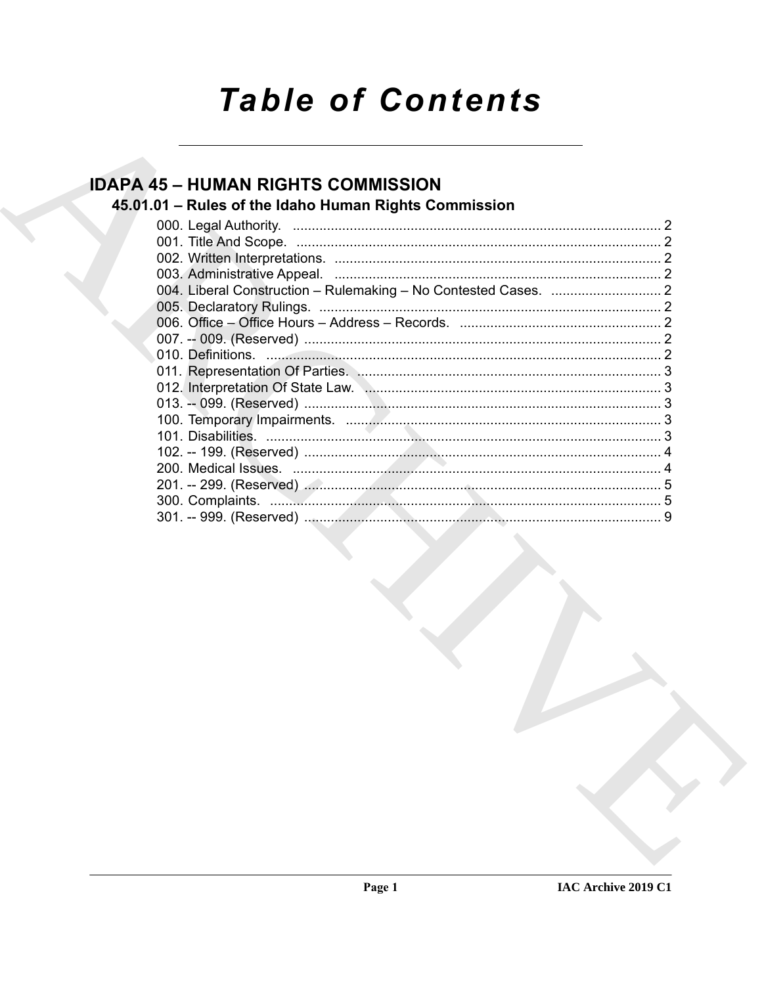# **Table of Contents**

## **IDAPA 45 - HUMAN RIGHTS COMMISSION**

## 45.01.01 - Rules of the Idaho Human Rights Commission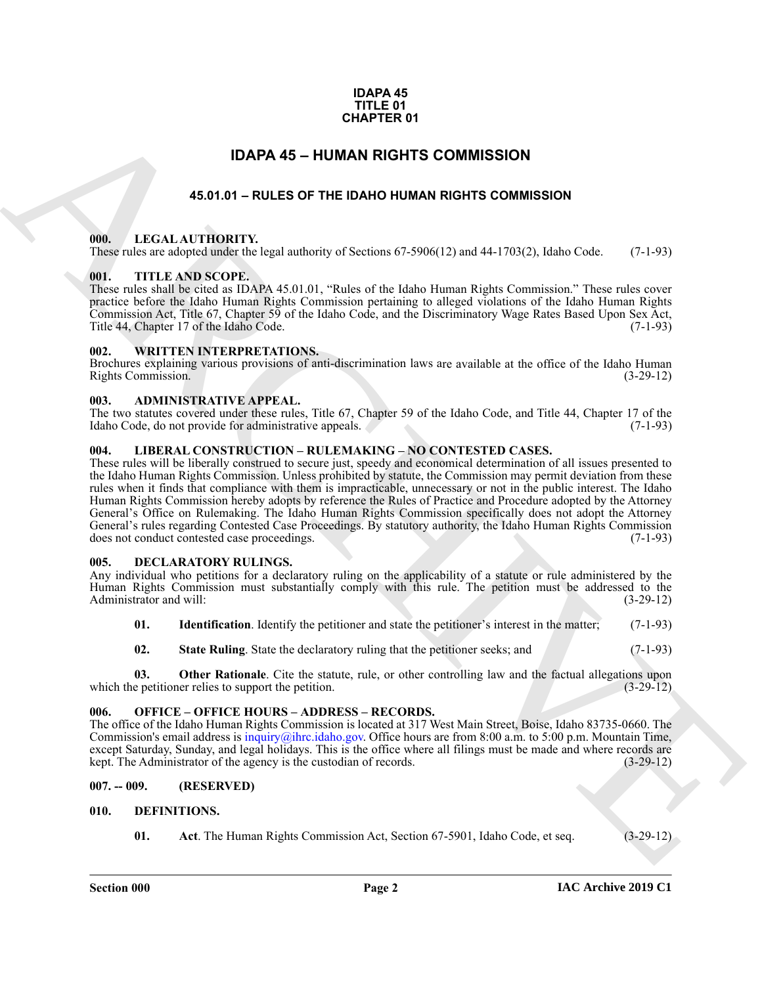### **IDAPA 45 TITLE 01 CHAPTER 01**

### **IDAPA 45 – HUMAN RIGHTS COMMISSION**

### **45.01.01 – RULES OF THE IDAHO HUMAN RIGHTS COMMISSION**

### <span id="page-1-15"></span><span id="page-1-2"></span><span id="page-1-1"></span><span id="page-1-0"></span>**000. LEGAL AUTHORITY.**

These rules are adopted under the legal authority of Sections 67-5906(12) and 44-1703(2), Idaho Code. (7-1-93)

### <span id="page-1-18"></span><span id="page-1-3"></span>**001. TITLE AND SCOPE.**

These rules shall be cited as IDAPA 45.01.01, "Rules of the Idaho Human Rights Commission." These rules cover practice before the Idaho Human Rights Commission pertaining to alleged violations of the Idaho Human Rights Commission Act, Title 67, Chapter 59 of the Idaho Code, and the Discriminatory Wage Rates Based Upon Sex Act, Title 44, Chapter 17 of the Idaho Code.

### <span id="page-1-19"></span><span id="page-1-4"></span>**002. WRITTEN INTERPRETATIONS.**

Brochures explaining various provisions of anti-discrimination laws are available at the office of the Idaho Human Rights Commission. (3-29-12)

### <span id="page-1-11"></span><span id="page-1-5"></span>**003. ADMINISTRATIVE APPEAL.**

The two statutes covered under these rules, Title 67, Chapter 59 of the Idaho Code, and Title 44, Chapter 17 of the Idaho Code, do not provide for administrative appeals. (7-1-93)

### <span id="page-1-16"></span><span id="page-1-6"></span>**004. LIBERAL CONSTRUCTION – RULEMAKING – NO CONTESTED CASES.**

**CHAPTER 01**<br> **EXAMPLES OF THE DAMA RIGHTS COMMISSION**<br> **ARCHIVE CONTINUES AND ARCHIVES COMMISSION**<br> **ARCHIVE CONTINUES AND ARCHIVES COMMISSION**<br> **ARCHIVE CONTINUES AND ARCHIVES COMMISSION**<br> **ARCHIVE CONTINUES AND ARCHIVE** These rules will be liberally construed to secure just, speedy and economical determination of all issues presented to the Idaho Human Rights Commission. Unless prohibited by statute, the Commission may permit deviation from these rules when it finds that compliance with them is impracticable, unnecessary or not in the public interest. The Idaho Human Rights Commission hereby adopts by reference the Rules of Practice and Procedure adopted by the Attorney General's Office on Rulemaking. The Idaho Human Rights Commission specifically does not adopt the Attorney General's rules regarding Contested Case Proceedings. By statutory authority, the Idaho Human Rights Commission does not conduct contested case proceedings. (7-1-93)

### <span id="page-1-12"></span><span id="page-1-7"></span>**005. DECLARATORY RULINGS.**

Any individual who petitions for a declaratory ruling on the applicability of a statute or rule administered by the Human Rights Commission must substantially comply with this rule. The petition must be addressed to the Administrator and will: (3-29-12)

- **01.** Identification. Identify the petitioner and state the petitioner's interest in the matter; (7-1-93)
- **02.** State Ruling. State the declaratory ruling that the petitioner seeks; and (7-1-93)

**03. Other Rationale**. Cite the statute, rule, or other controlling law and the factual allegations upon e petitioner relies to support the petition. (3-29-12) which the petitioner relies to support the petition.

### <span id="page-1-17"></span><span id="page-1-8"></span>**006. OFFICE – OFFICE HOURS – ADDRESS – RECORDS.**

The office of the Idaho Human Rights Commission is located at 317 West Main Street, Boise, Idaho 83735-0660. The Commission's email address is inquiry@ihrc.idaho.gov. Office hours are from 8:00 a.m. to 5:00 p.m. Mountain Time, except Saturday, Sunday, and legal holidays. This is the office where all filings must be made and where records are kept. The Administrator of the agency is the custodian of records. (3-29-12) kept. The Administrator of the agency is the custodian of records.

### <span id="page-1-9"></span>**007. -- 009. (RESERVED)**

### <span id="page-1-10"></span>**010. DEFINITIONS.**

<span id="page-1-14"></span><span id="page-1-13"></span>**01. Act**. The Human Rights Commission Act, Section 67-5901, Idaho Code, et seq. (3-29-12)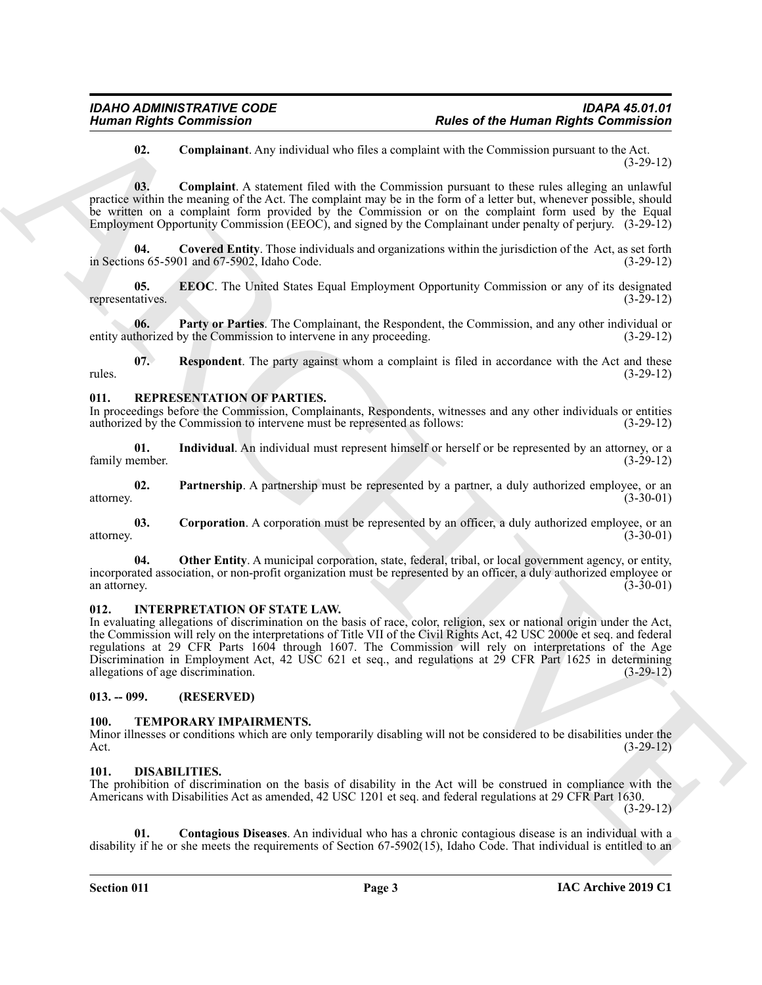### <span id="page-2-6"></span><span id="page-2-5"></span>**02. Complainant**. Any individual who files a complaint with the Commission pursuant to the Act. (3-29-12)

**03. Complaint**. A statement filed with the Commission pursuant to these rules alleging an unlawful practice within the meaning of the Act. The complaint may be in the form of a letter but, whenever possible, should be written on a complaint form provided by the Commission or on the complaint form used by the Equal Employment Opportunity Commission (EEOC), and signed by the Complainant under penalty of perjury. (3-29-12)

<span id="page-2-7"></span>**04. Covered Entity**. Those individuals and organizations within the jurisdiction of the Act, as set forth in Sections 65-5901 and 67-5902, Idaho Code. (3-29-12)

<span id="page-2-8"></span>**05. EEOC**. The United States Equal Employment Opportunity Commission or any of its designated tatives. (3-29-12) representatives.

<span id="page-2-9"></span>**06. Party or Parties**. The Complainant, the Respondent, the Commission, and any other individual or entity authorized by the Commission to intervene in any proceeding. (3-29-12)

<span id="page-2-10"></span>**07. Respondent**. The party against whom a complaint is filed in accordance with the Act and these rules. (3-29-12)

### <span id="page-2-14"></span><span id="page-2-0"></span>**011. REPRESENTATION OF PARTIES.**

In proceedings before the Commission, Complainants, Respondents, witnesses and any other individuals or entities authorized by the Commission to intervene must be represented as follows: (3-29-12) authorized by the Commission to intervene must be represented as follows:

<span id="page-2-16"></span>**01.** Individual. An individual must represent himself or herself or be represented by an attorney, or a nember. (3-29-12) family member.

<span id="page-2-18"></span>**02. Partnership**. A partnership must be represented by a partner, a duly authorized employee, or an attorney. (3-30-01)

<span id="page-2-15"></span>**03. Corporation**. A corporation must be represented by an officer, a duly authorized employee, or an attorney. (3-30-01)

<span id="page-2-17"></span>**04.** Other Entity. A municipal corporation, state, federal, tribal, or local government agency, or entity, incorporated association, or non-profit organization must be represented by an officer, a duly authorized employee or an attorney. (3-30-01)

### <span id="page-2-13"></span><span id="page-2-1"></span>**012. INTERPRETATION OF STATE LAW.**

Human Rights Commission<br>
18. Completion Associates that the Blue scores and the Blue Commission<br>
18. Completion Associates that the Geometrican policies of the Blue Scores and the Commission<br>
19. Completion Associates tha In evaluating allegations of discrimination on the basis of race, color, religion, sex or national origin under the Act, the Commission will rely on the interpretations of Title VII of the Civil Rights Act, 42 USC 2000e et seq. and federal regulations at 29 CFR Parts 1604 through 1607. The Commission will rely on interpretations of the Age Discrimination in Employment Act, 42 USC 621 et seq., and regulations at 29 CFR Part 1625 in determining allegations of age discrimination. (3-29-12)

### <span id="page-2-2"></span>**013. -- 099. (RESERVED)**

### <span id="page-2-19"></span><span id="page-2-3"></span>**100. TEMPORARY IMPAIRMENTS.**

Minor illnesses or conditions which are only temporarily disabling will not be considered to be disabilities under the Act. (3-29-12) Act. (3-29-12)

### <span id="page-2-11"></span><span id="page-2-4"></span>**101. DISABILITIES.**

The prohibition of discrimination on the basis of disability in the Act will be construed in compliance with the Americans with Disabilities Act as amended, 42 USC 1201 et seq. and federal regulations at 29 CFR Part 1630.

(3-29-12)

<span id="page-2-12"></span>**01. Contagious Diseases**. An individual who has a chronic contagious disease is an individual with a disability if he or she meets the requirements of Section 67-5902(15), Idaho Code. That individual is entitled to an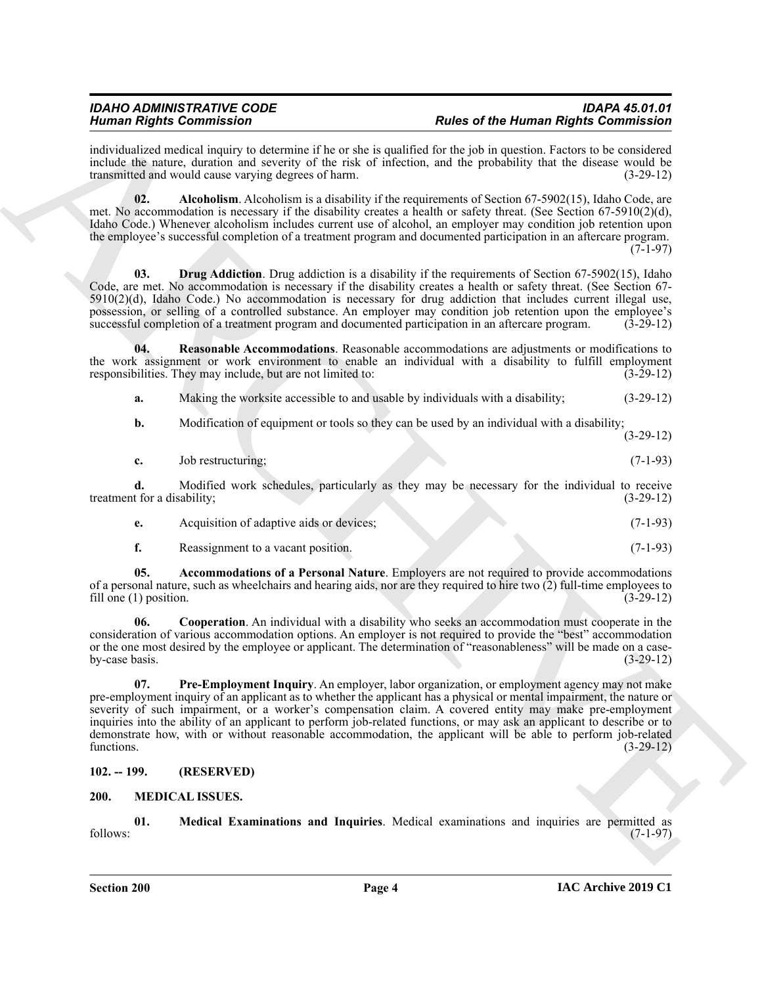individualized medical inquiry to determine if he or she is qualified for the job in question. Factors to be considered include the nature, duration and severity of the risk of infection, and the probability that the disease would be transmitted and would cause varying degrees of harm. (3-29-12)

<span id="page-3-3"></span>**02.** Alcoholism. Alcoholism is a disability if the requirements of Section 67-5902(15), Idaho Code, are met. No accommodation is necessary if the disability creates a health or safety threat. (See Section 67-5910(2)(d), Idaho Code.) Whenever alcoholism includes current use of alcohol, an employer may condition job retention upon the employee's successful completion of a treatment program and documented participation in an aftercare program. (7-1-97)

<span id="page-3-5"></span>**03. Drug Addiction**. Drug addiction is a disability if the requirements of Section 67-5902(15), Idaho Code, are met. No accommodation is necessary if the disability creates a health or safety threat. (See Section 67-  $5910(2)(d)$ , Idaho Code.) No accommodation is necessary for drug addiction that includes current illegal use, possession, or selling of a controlled substance. An employer may condition job retention upon the employee's successful completion of a treatment program and documented participation in an aftercare program. (3-29-12)

**04. Reasonable Accommodations**. Reasonable accommodations are adjustments or modifications to the work assignment or work environment to enable an individual with a disability to fulfill employment responsibilities. They may include, but are not limited to: (3-29-12)

<span id="page-3-7"></span>**a.** Making the worksite accessible to and usable by individuals with a disability;  $(3-29-12)$ 

**b.** Modification of equipment or tools so they can be used by an individual with a disability;

(3-29-12)

|  | Job restructuring; |  |  | $(7-1-93)$ |
|--|--------------------|--|--|------------|
|--|--------------------|--|--|------------|

**d.** Modified work schedules, particularly as they may be necessary for the individual to receive treatment for a disability; (3-29-12)

|  | Acquisition of adaptive aids or devices: |  |  | $(7-1-93)$ |
|--|------------------------------------------|--|--|------------|
|--|------------------------------------------|--|--|------------|

<span id="page-3-4"></span><span id="page-3-2"></span>**f.** Reassignment to a vacant position. (7-1-93)

**05. Accommodations of a Personal Nature**. Employers are not required to provide accommodations of a personal nature, such as wheelchairs and hearing aids, nor are they required to hire two  $(2)$  full-time employees to fill one  $(1)$  position.  $(3-29-12)$ fill one  $(1)$  position.

<span id="page-3-6"></span>**06. Cooperation**. An individual with a disability who seeks an accommodation must cooperate in the consideration of various accommodation options. An employer is not required to provide the "best" accommodation or the one most desired by the employee or applicant. The determination of "reasonableness" will be made on a caseby-case basis.  $(3-29-12)$ 

Human Rights Contribute to the same of the burning interaction of the same of the burning Rights Contribute into the same of the same of the same of the same of the same of the same of the same of the same of the same of **07. Pre-Employment Inquiry**. An employer, labor organization, or employment agency may not make pre-employment inquiry of an applicant as to whether the applicant has a physical or mental impairment, the nature or severity of such impairment, or a worker's compensation claim. A covered entity may make pre-employment inquiries into the ability of an applicant to perform job-related functions, or may ask an applicant to describe or to demonstrate how, with or without reasonable accommodation, the applicant will be able to perform job-related functions.  $(3-29-12)$ 

### <span id="page-3-0"></span>**102. -- 199. (RESERVED)**

### <span id="page-3-8"></span><span id="page-3-1"></span>**200. MEDICAL ISSUES.**

<span id="page-3-9"></span>**01. Medical Examinations and Inquiries**. Medical examinations and inquiries are permitted as follows: (7-1-97)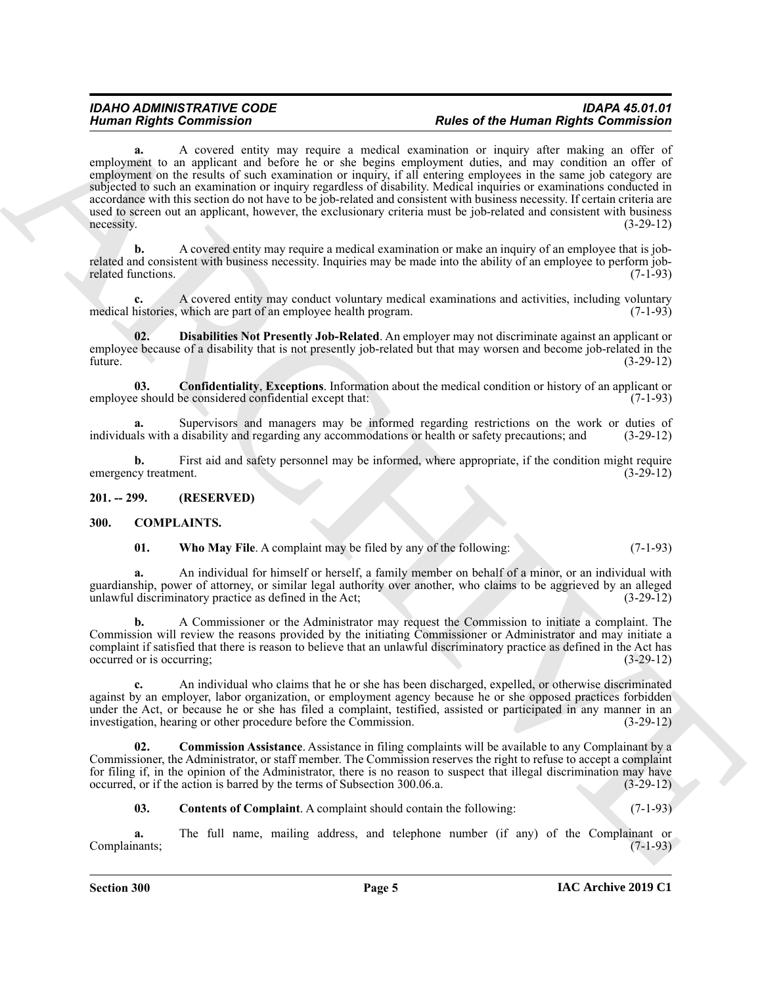### *IDAHO ADMINISTRATIVE CODE IDAPA 45.01.01 Human Rights Commission Rules of the Human Rights Commission*

Human Rights Commission Commission Commission of the two plane of the thermal Rights Commission and the complete of the complete of the complete of the complete of the complete of the complete of the complete of the compl **a.** A covered entity may require a medical examination or inquiry after making an offer of employment to an applicant and before he or she begins employment duties, and may condition an offer of employment on the results of such examination or inquiry, if all entering employees in the same job category are subjected to such an examination or inquiry regardless of disability. Medical inquiries or examinations conducted in accordance with this section do not have to be job-related and consistent with business necessity. If certain criteria are used to screen out an applicant, however, the exclusionary criteria must be job-related and consistent with business necessity. (3-29-12)  $\text{necessary}$ .  $(3-29-12)$ 

**b.** A covered entity may require a medical examination or make an inquiry of an employee that is jobrelated and consistent with business necessity. Inquiries may be made into the ability of an employee to perform job-<br>related functions. (7-1-93) related functions.

**c.** A covered entity may conduct voluntary medical examinations and activities, including voluntary medical histories, which are part of an employee health program. (7-1-93)

<span id="page-4-7"></span>**02. Disabilities Not Presently Job-Related**. An employer may not discriminate against an applicant or employee because of a disability that is not presently job-related but that may worsen and become job-related in the future. (3-29-12)

<span id="page-4-6"></span>**03. Confidentiality**, **Exceptions**. Information about the medical condition or history of an applicant or employee should be considered confidential except that: (7-1-93)

**a.** Supervisors and managers may be informed regarding restrictions on the work or duties of individuals with a disability and regarding any accommodations or health or safety precautions; and (3-29-12)

**b.** First aid and safety personnel may be informed, where appropriate, if the condition might require emergency treatment. (3-29-12)

<span id="page-4-0"></span>**201. -- 299. (RESERVED)**

### <span id="page-4-1"></span>**300. COMPLAINTS.**

<span id="page-4-5"></span><span id="page-4-2"></span>

| 01. |  | <b>Who May File.</b> A complaint may be filed by any of the following: | $(7-1-93)$ |
|-----|--|------------------------------------------------------------------------|------------|
|-----|--|------------------------------------------------------------------------|------------|

**a.** An individual for himself or herself, a family member on behalf of a minor, or an individual with guardianship, power of attorney, or similar legal authority over another, who claims to be aggrieved by an alleged unlawful discriminatory practice as defined in the Act; (3-29-12)

**b.** A Commissioner or the Administrator may request the Commission to initiate a complaint. The Commission will review the reasons provided by the initiating Commissioner or Administrator and may initiate a complaint if satisfied that there is reason to believe that an unlawful discriminatory practice as defined in the Act has occurred or is occurring; (3-29-12)

**c.** An individual who claims that he or she has been discharged, expelled, or otherwise discriminated against by an employer, labor organization, or employment agency because he or she opposed practices forbidden under the Act, or because he or she has filed a complaint, testified, assisted or participated in any manner in an investigation, hearing or other procedure before the Commission. (3-29-12)

**02. Commission Assistance**. Assistance in filing complaints will be available to any Complainant by a Commissioner, the Administrator, or staff member. The Commission reserves the right to refuse to accept a complaint for filing if, in the opinion of the Administrator, there is no reason to suspect that illegal discrimination may have occurred, or if the action is barred by the terms of Subsection 300.06.a. (3-29-12)

<span id="page-4-4"></span><span id="page-4-3"></span>**03.** Contents of Complaint. A complaint should contain the following: (7-1-93)

**a.** The full name, mailing address, and telephone number (if any) of the Complainant or Complainants; (7-1-93)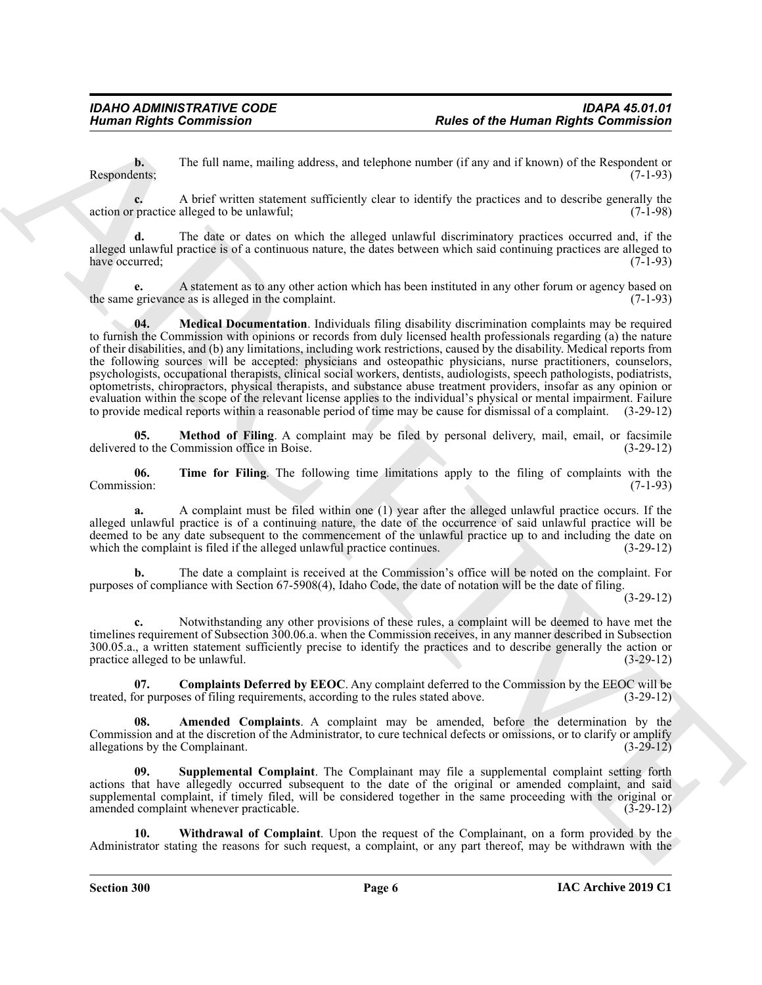**b.** The full name, mailing address, and telephone number (if any and if known) of the Respondent or Respondents; (7-1-93)

**c.** A brief written statement sufficiently clear to identify the practices and to describe generally the action or practice alleged to be unlawful; (7-1-98)

**d.** The date or dates on which the alleged unlawful discriminatory practices occurred and, if the alleged unlawful practice is of a continuous nature, the dates between which said continuing practices are alleged to have occurred; (7-1-93) (3) the contract of the contract of the contract of the contract of the contract of the contract of the contract of the contract of the contract of the contract of the contract of the contract of th

<span id="page-5-2"></span>**e.** A statement as to any other action which has been instituted in any other forum or agency based on grievance as is alleged in the complaint. the same grievance as is alleged in the complaint.

Human Rights Commission<br>
The Add note, mating ecloses, and obeybnes camber (i.l.ey. and i.l.e.wear of the Human Rights Commission<br>
Respectively. The Add note, mating ecloses, and obeybnes camber (i.l.ey. and i.l.as of the **04. Medical Documentation**. Individuals filing disability discrimination complaints may be required to furnish the Commission with opinions or records from duly licensed health professionals regarding (a) the nature of their disabilities, and (b) any limitations, including work restrictions, caused by the disability. Medical reports from the following sources will be accepted: physicians and osteopathic physicians, nurse practitioners, counselors, psychologists, occupational therapists, clinical social workers, dentists, audiologists, speech pathologists, podiatrists, optometrists, chiropractors, physical therapists, and substance abuse treatment providers, insofar as any opinion or evaluation within the scope of the relevant license applies to the individual's physical or mental impairment. Failure to provide medical reports within a reasonable period of time may be cause for dismissal of a complaint. (3-29-12)

<span id="page-5-3"></span>**05. Method of Filing**. A complaint may be filed by personal delivery, mail, email, or facsimile to the Commission office in Boise. (3-29-12) delivered to the Commission office in Boise.

<span id="page-5-5"></span>**06. Time for Filing**. The following time limitations apply to the filing of complaints with the sion: (7-1-93) Commission:

**a.** A complaint must be filed within one (1) year after the alleged unlawful practice occurs. If the alleged unlawful practice is of a continuing nature, the date of the occurrence of said unlawful practice will be deemed to be any date subsequent to the commencement of the unlawful practice up to and including the date on which the complaint is filed if the alleged unlawful practice continues. (3-29-12)

**b.** The date a complaint is received at the Commission's office will be noted on the complaint. For purposes of compliance with Section 67-5908(4), Idaho Code, the date of notation will be the date of filing.

(3-29-12)

**c.** Notwithstanding any other provisions of these rules, a complaint will be deemed to have met the timelines requirement of Subsection 300.06.a. when the Commission receives, in any manner described in Subsection 300.05.a., a written statement sufficiently precise to identify the practices and to describe generally the action or practice alleged to be unlawful. (3-29-12)

<span id="page-5-1"></span>**07. Complaints Deferred by EEOC**. Any complaint deferred to the Commission by the EEOC will be treated, for purposes of filing requirements, according to the rules stated above. (3-29-12)

<span id="page-5-0"></span>Amended Complaints. A complaint may be amended, before the determination by the Commission and at the discretion of the Administrator, to cure technical defects or omissions, or to clarify or amplify allegations by the Complainant. (3-29-12)

<span id="page-5-4"></span>Supplemental Complaint. The Complainant may file a supplemental complaint setting forth actions that have allegedly occurred subsequent to the date of the original or amended complaint, and said supplemental complaint, if timely filed, will be considered together in the same proceeding with the original or amended complaint whenever practicable. (3-29-12)

<span id="page-5-6"></span>**10. Withdrawal of Complaint**. Upon the request of the Complainant, on a form provided by the Administrator stating the reasons for such request, a complaint, or any part thereof, may be withdrawn with the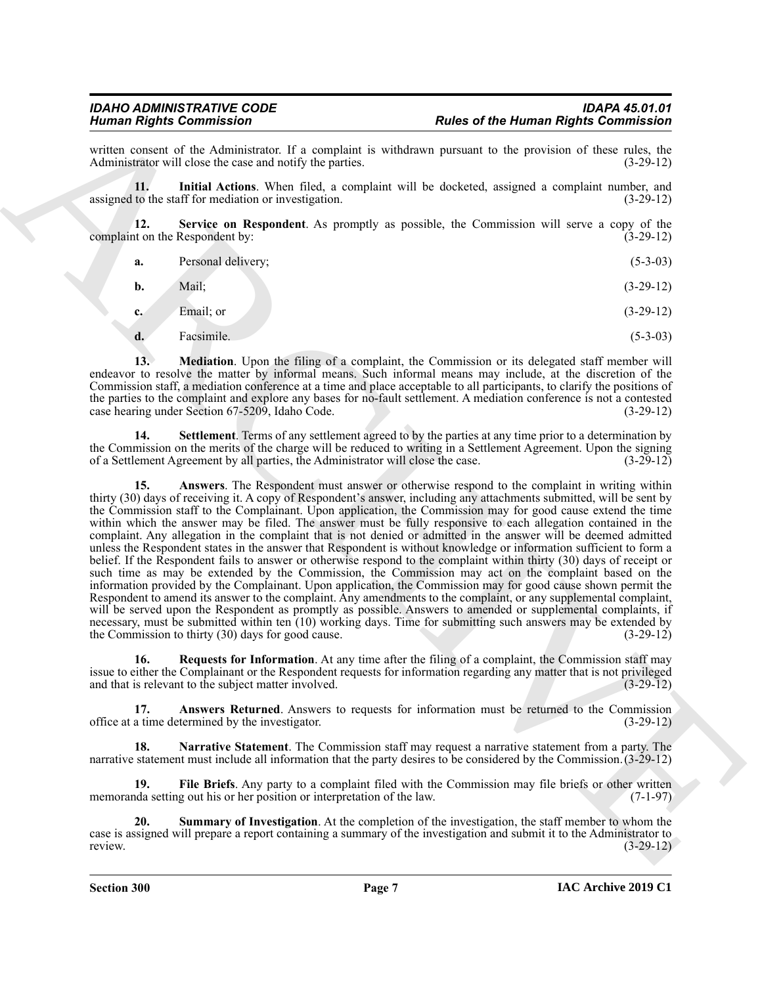written consent of the Administrator. If a complaint is withdrawn pursuant to the provision of these rules, the Administrator will close the case and notify the parties. (3-29-12) Administrator will close the case and notify the parties.

<span id="page-6-3"></span>**11. Initial Actions**. When filed, a complaint will be docketed, assigned a complaint number, and assigned to the staff for mediation or investigation. (3-29-12)

**12. Service on Respondent**. As promptly as possible, the Commission will serve a copy of the complaint on the Respondent by: (3-29-12)

<span id="page-6-7"></span>

| а. | Personal delivery; | $(5-3-03)$ |
|----|--------------------|------------|
|----|--------------------|------------|

| <b>b.</b> | Mail; | $(3-29-12)$ |
|-----------|-------|-------------|
|           |       |             |

**c.** Email; or (3-29-12)

<span id="page-6-4"></span>**d.** Facsimile. (5-3-03)

**13.** Mediation. Upon the filing of a complaint, the Commission or its delegated staff member will endeavor to resolve the matter by informal means. Such informal means may include, at the discretion of the Commission staff, a mediation conference at a time and place acceptable to all participants, to clarify the positions of the parties to the complaint and explore any bases for no-fault settlement. A mediation conference is not a contested case hearing under Section 67-5209, Idaho Code. (3-29-12) case hearing under Section 67-5209, Idaho Code.

<span id="page-6-8"></span><span id="page-6-1"></span>**14. Settlement**. Terms of any settlement agreed to by the parties at any time prior to a determination by the Commission on the merits of the charge will be reduced to writing in a Settlement Agreement. Upon the signing of a Settlement Agreement by all parties, the Administrator will close the case. (3-29-12)

Hence of the Henna Rights Commission<br>
From Commission Commission<br>
Administration (1,4 requising to estimate the properties of the Henna Rights Commission<br>
Administration (1,4 requising to estimate the properties of the Sy **15. Answers**. The Respondent must answer or otherwise respond to the complaint in writing within thirty (30) days of receiving it. A copy of Respondent's answer, including any attachments submitted, will be sent by the Commission staff to the Complainant. Upon application, the Commission may for good cause extend the time within which the answer may be filed. The answer must be fully responsive to each allegation contained in the complaint. Any allegation in the complaint that is not denied or admitted in the answer will be deemed admitted unless the Respondent states in the answer that Respondent is without knowledge or information sufficient to form a belief. If the Respondent fails to answer or otherwise respond to the complaint within thirty (30) days of receipt or such time as may be extended by the Commission, the Commission may act on the complaint based on the information provided by the Complainant. Upon application, the Commission may for good cause shown permit the Respondent to amend its answer to the complaint. Any amendments to the complaint, or any supplemental complaint, will be served upon the Respondent as promptly as possible. Answers to amended or supplemental complaints, if necessary, must be submitted within ten (10) working days. Time for submitting such answers may be extended by<br>the Commission to thirty (30) days for good cause. the Commission to thirty  $(30)$  days for good cause.

<span id="page-6-6"></span>**16. Requests for Information**. At any time after the filing of a complaint, the Commission staff may issue to either the Complainant or the Respondent requests for information regarding any matter that is not privileged<br>and that is relevant to the subject matter involved. (3-29-12) and that is relevant to the subject matter involved.

<span id="page-6-0"></span>**17. Answers Returned**. Answers to requests for information must be returned to the Commission office at a time determined by the investigator. (3-29-12)

<span id="page-6-5"></span>**18. Narrative Statement**. The Commission staff may request a narrative statement from a party. The narrative statement must include all information that the party desires to be considered by the Commission.(3-29-12)

<span id="page-6-2"></span>**19. File Briefs**. Any party to a complaint filed with the Commission may file briefs or other written memoranda setting out his or her position or interpretation of the law. (7-1-97)

<span id="page-6-9"></span>**20. Summary of Investigation**. At the completion of the investigation, the staff member to whom the case is assigned will prepare a report containing a summary of the investigation and submit it to the Administrator to review. (3-29-12)

**Section 300 Page 7**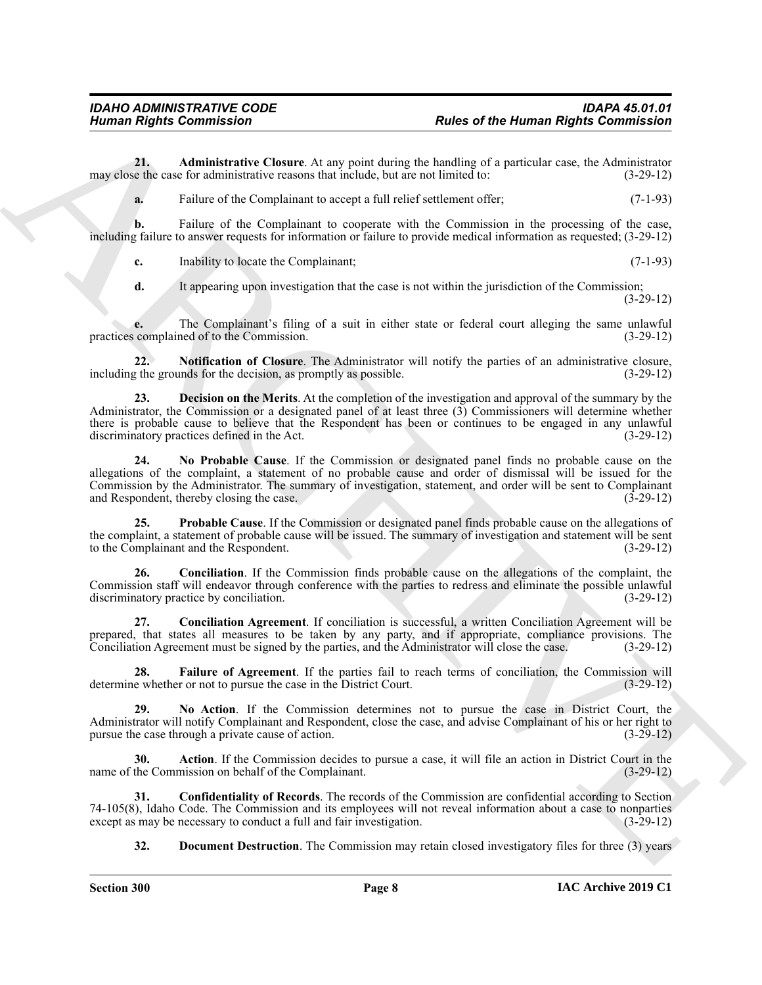**21. Administrative Closure**. At any point during the handling of a particular case, the Administrator may close the case for administrative reasons that include, but are not limited to: (3-29-12)

<span id="page-7-1"></span>**a.** Failure of the Complainant to accept a full relief settlement offer; (7-1-93)

**b.** Failure of the Complainant to cooperate with the Commission in the processing of the case, including failure to answer requests for information or failure to provide medical information as requested; (3-29-12)

**c.** Inability to locate the Complainant; (7-1-93)

<span id="page-7-10"></span>**d.** It appearing upon investigation that the case is not within the jurisdiction of the Commission; (3-29-12)

**e.** The Complainant's filing of a suit in either state or federal court alleging the same unlawful complained of to the Commission. (3-29-12) practices complained of to the Commission.

**22. Notification of Closure**. The Administrator will notify the parties of an administrative closure, including the grounds for the decision, as promptly as possible. (3-29-12)

<span id="page-7-9"></span><span id="page-7-5"></span>**23. Decision on the Merits**. At the completion of the investigation and approval of the summary by the Administrator, the Commission or a designated panel of at least three (3) Commissioners will determine whether there is probable cause to believe that the Respondent has been or continues to be engaged in any unlawful discriminatory practices defined in the Act. (3-29-12)

Human Rights Commission<br>
Numan Rights Commission<br>
Numan Rights Commission<br>
Numan Rights Commission<br>
The Archives Control in the Commission<br>
The Commission Commission Commission Commission Commission Commission<br>
The Commis **24. No Probable Cause**. If the Commission or designated panel finds no probable cause on the allegations of the complaint, a statement of no probable cause and order of dismissal will be issued for the Commission by the Administrator. The summary of investigation, statement, and order will be sent to Complainant and Respondent, thereby closing the case.

<span id="page-7-11"></span>**25. Probable Cause**. If the Commission or designated panel finds probable cause on the allegations of the complaint, a statement of probable cause will be issued. The summary of investigation and statement will be sent to the Complainant and the Respondent. (3-29-12)

<span id="page-7-2"></span>**26. Conciliation**. If the Commission finds probable cause on the allegations of the complaint, the Commission staff will endeavor through conference with the parties to redress and eliminate the possible unlawful discriminatory practice by conciliation. (3-29-12)

<span id="page-7-3"></span>**27. Conciliation Agreement**. If conciliation is successful, a written Conciliation Agreement will be prepared, that states all measures to be taken by any party, and if appropriate, compliance provisions. The Conciliation Agreement must be signed by the parties, and the Administrator will close the case. (3-29-12)

<span id="page-7-7"></span>**28.** Failure of Agreement. If the parties fail to reach terms of conciliation, the Commission will e whether or not to pursue the case in the District Court. (3-29-12) determine whether or not to pursue the case in the District Court.

<span id="page-7-8"></span>**29. No Action**. If the Commission determines not to pursue the case in District Court, the Administrator will notify Complainant and Respondent, close the case, and advise Complainant of his or her right to pursue the case through a private cause of action. (3-29-12)

<span id="page-7-0"></span>**30. Action**. If the Commission decides to pursue a case, it will file an action in District Court in the name of the Commission on behalf of the Complainant. (3-29-12)

**31. Confidentiality of Records**. The records of the Commission are confidential according to Section 74-105(8), Idaho Code. The Commission and its employees will not reveal information about a case to nonparties except as may be necessary to conduct a full and fair investigation. (3-29-12) except as may be necessary to conduct a full and fair investigation.

<span id="page-7-6"></span><span id="page-7-4"></span>**32. Document Destruction**. The Commission may retain closed investigatory files for three (3) years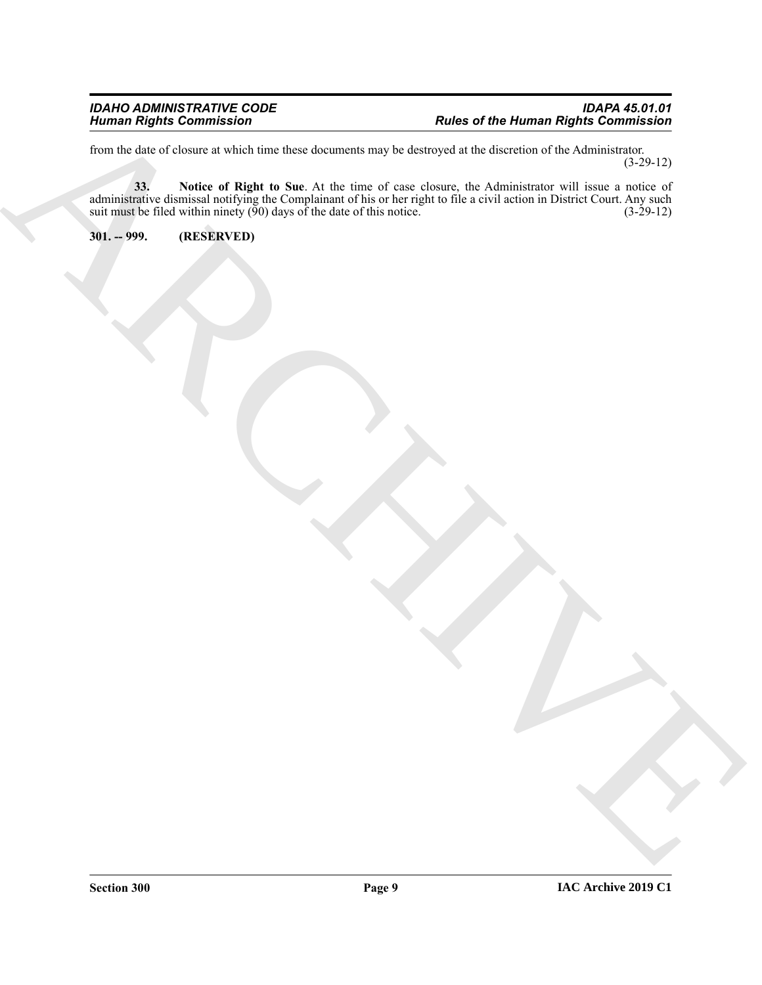<span id="page-8-1"></span>from the date of closure at which time these documents may be destroyed at the discretion of the Administrator. (3-29-12)

The the term of the first of the prior of the term of the term of the contract of the contract of the state of the state of the state of the state of the state of the state of the state of the state of the state of the sta **33. Notice of Right to Sue**. At the time of case closure, the Administrator will issue a notice of administrative dismissal notifying the Complainant of his or her right to file a civil action in District Court. Any such suit must be filed within ninety  $(\bar{90})$  days of the date of this notice. (3-29-12)

<span id="page-8-0"></span>**301. -- 999. (RESERVED)**